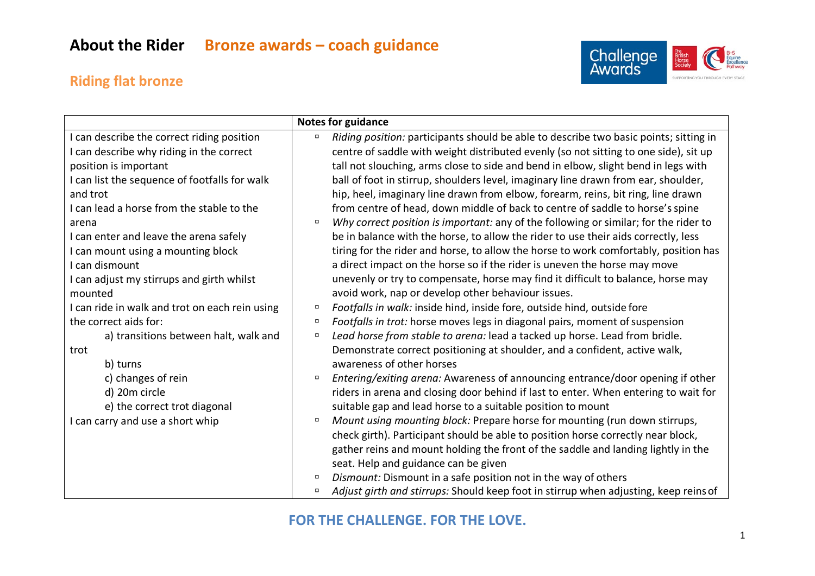## **Riding flat bronze**



|                                                | <b>Notes for guidance</b>                                                                       |
|------------------------------------------------|-------------------------------------------------------------------------------------------------|
| can describe the correct riding position       | Riding position: participants should be able to describe two basic points; sitting in<br>$\Box$ |
| can describe why riding in the correct         | centre of saddle with weight distributed evenly (so not sitting to one side), sit up            |
| position is important                          | tall not slouching, arms close to side and bend in elbow, slight bend in legs with              |
| I can list the sequence of footfalls for walk  | ball of foot in stirrup, shoulders level, imaginary line drawn from ear, shoulder,              |
| and trot                                       | hip, heel, imaginary line drawn from elbow, forearm, reins, bit ring, line drawn                |
| I can lead a horse from the stable to the      | from centre of head, down middle of back to centre of saddle to horse's spine                   |
| arena                                          | Why correct position is important: any of the following or similar; for the rider to<br>$\Box$  |
| I can enter and leave the arena safely         | be in balance with the horse, to allow the rider to use their aids correctly, less              |
| I can mount using a mounting block             | tiring for the rider and horse, to allow the horse to work comfortably, position has            |
| I can dismount                                 | a direct impact on the horse so if the rider is uneven the horse may move                       |
| I can adjust my stirrups and girth whilst      | unevenly or try to compensate, horse may find it difficult to balance, horse may                |
| mounted                                        | avoid work, nap or develop other behaviour issues.                                              |
| I can ride in walk and trot on each rein using | Footfalls in walk: inside hind, inside fore, outside hind, outside fore<br>$\Box$               |
| the correct aids for:                          | Footfalls in trot: horse moves legs in diagonal pairs, moment of suspension<br>$\Box$           |
| a) transitions between halt, walk and          | Lead horse from stable to arena: lead a tacked up horse. Lead from bridle.<br>$\Box$            |
| trot                                           | Demonstrate correct positioning at shoulder, and a confident, active walk,                      |
| b) turns                                       | awareness of other horses                                                                       |
| c) changes of rein                             | Entering/exiting arena: Awareness of announcing entrance/door opening if other<br>$\Box$        |
| d) 20m circle                                  | riders in arena and closing door behind if last to enter. When entering to wait for             |
| e) the correct trot diagonal                   | suitable gap and lead horse to a suitable position to mount                                     |
| can carry and use a short whip                 | Mount using mounting block: Prepare horse for mounting (run down stirrups,<br>$\Box$            |
|                                                | check girth). Participant should be able to position horse correctly near block,                |
|                                                | gather reins and mount holding the front of the saddle and landing lightly in the               |
|                                                | seat. Help and guidance can be given                                                            |
|                                                | Dismount: Dismount in a safe position not in the way of others<br>$\Box$                        |
|                                                | Adjust girth and stirrups: Should keep foot in stirrup when adjusting, keep reins of<br>$\Box$  |

#### **FOR THE CHALLENGE. FOR THE LOVE.**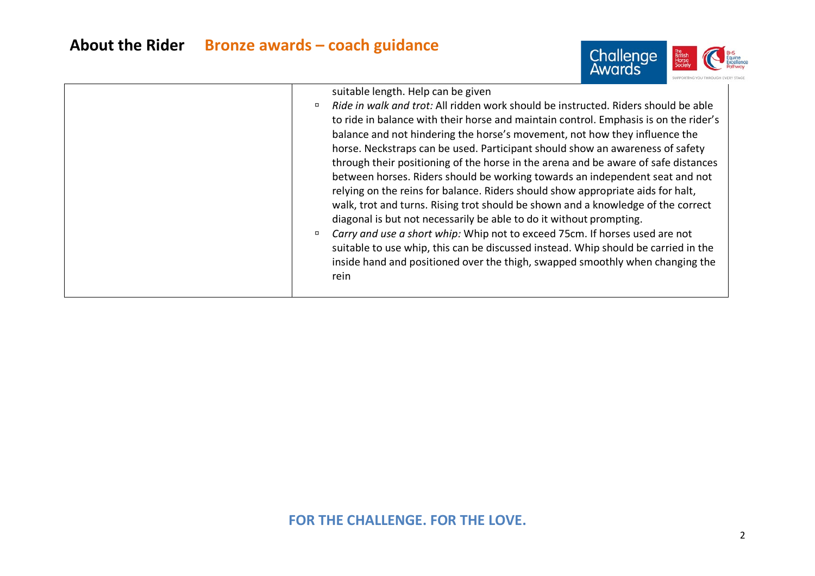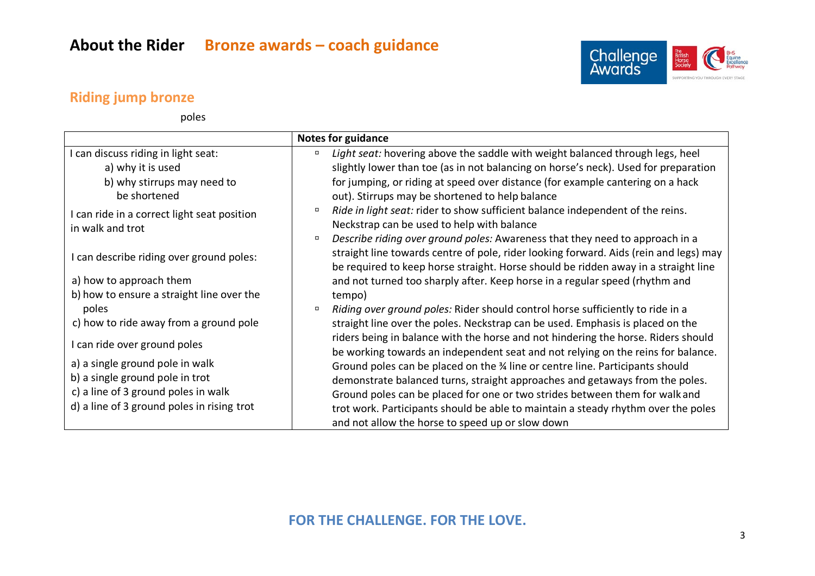

### **Riding jump bronze**

poles

|                                                                 | <b>Notes for guidance</b>                                                                                                                                                                                                                                             |
|-----------------------------------------------------------------|-----------------------------------------------------------------------------------------------------------------------------------------------------------------------------------------------------------------------------------------------------------------------|
| I can discuss riding in light seat:                             | Light seat: hovering above the saddle with weight balanced through legs, heel<br>$\Box$                                                                                                                                                                               |
| a) why it is used                                               | slightly lower than toe (as in not balancing on horse's neck). Used for preparation                                                                                                                                                                                   |
| b) why stirrups may need to<br>be shortened                     | for jumping, or riding at speed over distance (for example cantering on a hack<br>out). Stirrups may be shortened to help balance                                                                                                                                     |
| I can ride in a correct light seat position<br>in walk and trot | Ride in light seat: rider to show sufficient balance independent of the reins.<br>$\Box$<br>Neckstrap can be used to help with balance                                                                                                                                |
| I can describe riding over ground poles:                        | Describe riding over ground poles: Awareness that they need to approach in a<br>$\Box$<br>straight line towards centre of pole, rider looking forward. Aids (rein and legs) may<br>be required to keep horse straight. Horse should be ridden away in a straight line |
| a) how to approach them                                         | and not turned too sharply after. Keep horse in a regular speed (rhythm and                                                                                                                                                                                           |
| b) how to ensure a straight line over the                       | tempo)                                                                                                                                                                                                                                                                |
| poles                                                           | Riding over ground poles: Rider should control horse sufficiently to ride in a<br>$\Box$                                                                                                                                                                              |
| c) how to ride away from a ground pole                          | straight line over the poles. Neckstrap can be used. Emphasis is placed on the                                                                                                                                                                                        |
| I can ride over ground poles                                    | riders being in balance with the horse and not hindering the horse. Riders should<br>be working towards an independent seat and not relying on the reins for balance.                                                                                                 |
| a) a single ground pole in walk                                 | Ground poles can be placed on the 34 line or centre line. Participants should                                                                                                                                                                                         |
| b) a single ground pole in trot                                 | demonstrate balanced turns, straight approaches and getaways from the poles.                                                                                                                                                                                          |
| c) a line of 3 ground poles in walk                             | Ground poles can be placed for one or two strides between them for walk and                                                                                                                                                                                           |
| d) a line of 3 ground poles in rising trot                      | trot work. Participants should be able to maintain a steady rhythm over the poles                                                                                                                                                                                     |
|                                                                 | and not allow the horse to speed up or slow down                                                                                                                                                                                                                      |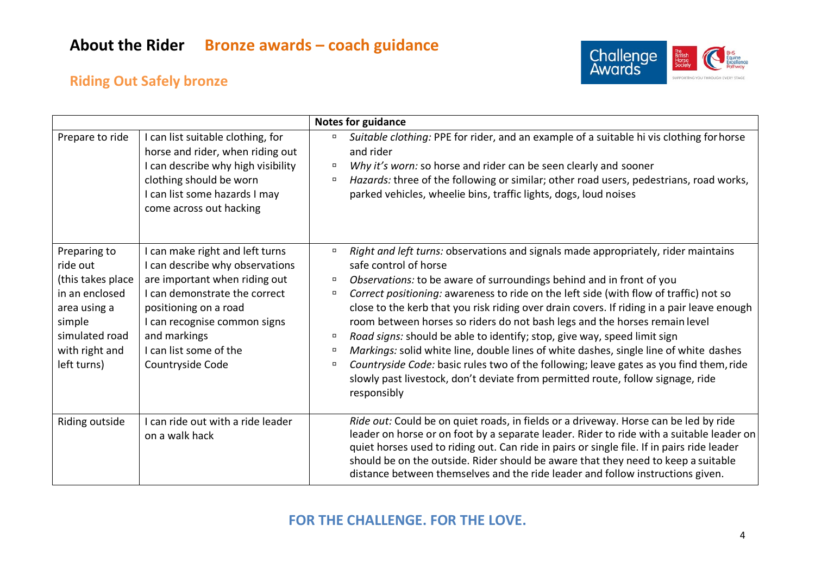

## **Riding Out Safely bronze**

|                                                                                                                                              |                                                                                                                                                                                                                                                             | <b>Notes for guidance</b>                                                                                                                                                                                                                                                                                                                                                                                                                                                                                                                                                                                                                                                                                                                                                                                                                |
|----------------------------------------------------------------------------------------------------------------------------------------------|-------------------------------------------------------------------------------------------------------------------------------------------------------------------------------------------------------------------------------------------------------------|------------------------------------------------------------------------------------------------------------------------------------------------------------------------------------------------------------------------------------------------------------------------------------------------------------------------------------------------------------------------------------------------------------------------------------------------------------------------------------------------------------------------------------------------------------------------------------------------------------------------------------------------------------------------------------------------------------------------------------------------------------------------------------------------------------------------------------------|
| Prepare to ride                                                                                                                              | I can list suitable clothing, for<br>horse and rider, when riding out<br>I can describe why high visibility<br>clothing should be worn<br>I can list some hazards I may<br>come across out hacking                                                          | Suitable clothing: PPE for rider, and an example of a suitable hi vis clothing for horse<br>and rider<br>Why it's worn: so horse and rider can be seen clearly and sooner<br>Hazards: three of the following or similar; other road users, pedestrians, road works,<br>$\Box$<br>parked vehicles, wheelie bins, traffic lights, dogs, loud noises                                                                                                                                                                                                                                                                                                                                                                                                                                                                                        |
| Preparing to<br>ride out<br>(this takes place<br>in an enclosed<br>area using a<br>simple<br>simulated road<br>with right and<br>left turns) | I can make right and left turns<br>I can describe why observations<br>are important when riding out<br>I can demonstrate the correct<br>positioning on a road<br>I can recognise common signs<br>and markings<br>I can list some of the<br>Countryside Code | Right and left turns: observations and signals made appropriately, rider maintains<br>safe control of horse<br>Observations: to be aware of surroundings behind and in front of you<br>$\Box$<br>Correct positioning: awareness to ride on the left side (with flow of traffic) not so<br>п<br>close to the kerb that you risk riding over drain covers. If riding in a pair leave enough<br>room between horses so riders do not bash legs and the horses remain level<br>Road signs: should be able to identify; stop, give way, speed limit sign<br>Markings: solid white line, double lines of white dashes, single line of white dashes<br>Countryside Code: basic rules two of the following; leave gates as you find them, ride<br>slowly past livestock, don't deviate from permitted route, follow signage, ride<br>responsibly |
| Riding outside                                                                                                                               | can ride out with a ride leader<br>on a walk hack                                                                                                                                                                                                           | Ride out: Could be on quiet roads, in fields or a driveway. Horse can be led by ride<br>leader on horse or on foot by a separate leader. Rider to ride with a suitable leader on<br>quiet horses used to riding out. Can ride in pairs or single file. If in pairs ride leader<br>should be on the outside. Rider should be aware that they need to keep a suitable<br>distance between themselves and the ride leader and follow instructions given.                                                                                                                                                                                                                                                                                                                                                                                    |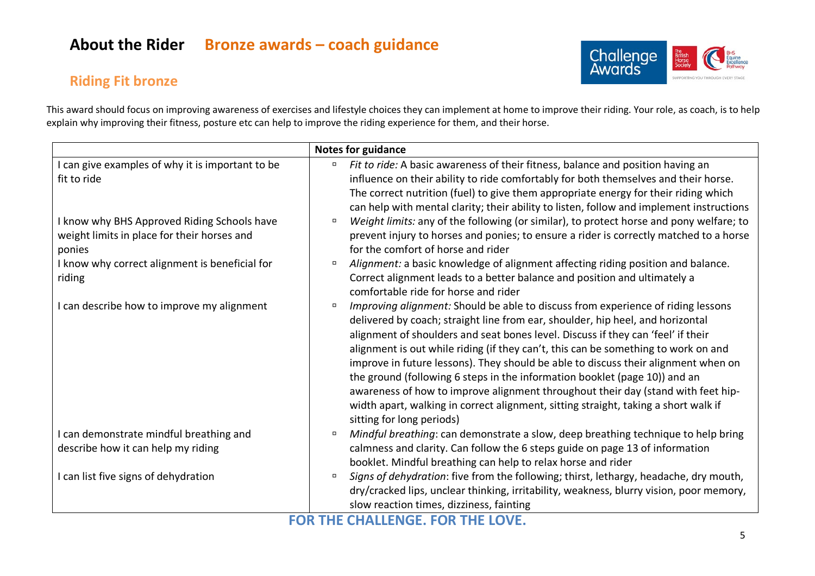# **About the Rider Bronze awards – coach guidance**





This award should focus on improving awareness of exercises and lifestyle choices they can implement at home to improve their riding. Your role, as coach, is to help explain why improving their fitness, posture etc can help to improve the riding experience for them, and their horse.

|                                                | <b>Notes for guidance</b>                                                                         |
|------------------------------------------------|---------------------------------------------------------------------------------------------------|
| can give examples of why it is important to be | Fit to ride: A basic awareness of their fitness, balance and position having an<br>$\Box$         |
| fit to ride                                    | influence on their ability to ride comfortably for both themselves and their horse.               |
|                                                | The correct nutrition (fuel) to give them appropriate energy for their riding which               |
|                                                | can help with mental clarity; their ability to listen, follow and implement instructions          |
| I know why BHS Approved Riding Schools have    | Weight limits: any of the following (or similar), to protect horse and pony welfare; to<br>$\Box$ |
| weight limits in place for their horses and    | prevent injury to horses and ponies; to ensure a rider is correctly matched to a horse            |
| ponies                                         | for the comfort of horse and rider                                                                |
| I know why correct alignment is beneficial for | Alignment: a basic knowledge of alignment affecting riding position and balance.<br>$\Box$        |
| riding                                         | Correct alignment leads to a better balance and position and ultimately a                         |
|                                                | comfortable ride for horse and rider                                                              |
| I can describe how to improve my alignment     | Improving alignment: Should be able to discuss from experience of riding lessons<br>$\Box$        |
|                                                | delivered by coach; straight line from ear, shoulder, hip heel, and horizontal                    |
|                                                | alignment of shoulders and seat bones level. Discuss if they can 'feel' if their                  |
|                                                | alignment is out while riding (if they can't, this can be something to work on and                |
|                                                | improve in future lessons). They should be able to discuss their alignment when on                |
|                                                | the ground (following 6 steps in the information booklet (page 10)) and an                        |
|                                                | awareness of how to improve alignment throughout their day (stand with feet hip-                  |
|                                                | width apart, walking in correct alignment, sitting straight, taking a short walk if               |
|                                                | sitting for long periods)                                                                         |
| can demonstrate mindful breathing and          | Mindful breathing: can demonstrate a slow, deep breathing technique to help bring<br>$\Box$       |
| describe how it can help my riding             | calmness and clarity. Can follow the 6 steps guide on page 13 of information                      |
|                                                | booklet. Mindful breathing can help to relax horse and rider                                      |
| I can list five signs of dehydration           | Signs of dehydration: five from the following; thirst, lethargy, headache, dry mouth,<br>$\Box$   |
|                                                | dry/cracked lips, unclear thinking, irritability, weakness, blurry vision, poor memory,           |
|                                                | slow reaction times, dizziness, fainting<br>FAR THE AUAU FUAR FAR THE LAVE                        |